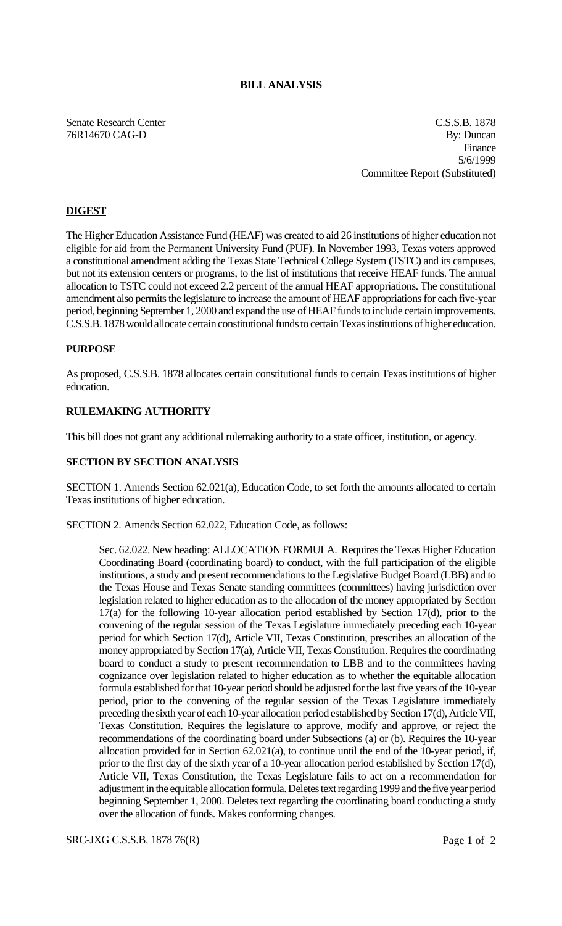# **BILL ANALYSIS**

Senate Research Center Cassachusetts and C.S.S.B. 1878 76R14670 CAG-D By: Duncan Finance 5/6/1999 Committee Report (Substituted)

## **DIGEST**

The Higher Education Assistance Fund (HEAF) was created to aid 26 institutions of higher education not eligible for aid from the Permanent University Fund (PUF). In November 1993, Texas voters approved a constitutional amendment adding the Texas State Technical College System (TSTC) and its campuses, but not its extension centers or programs, to the list of institutions that receive HEAF funds. The annual allocation to TSTC could not exceed 2.2 percent of the annual HEAF appropriations. The constitutional amendment also permits the legislature to increase the amount of HEAF appropriations for each five-year period, beginning September 1, 2000 and expand the use of HEAF funds to include certain improvements. C.S.S.B. 1878 would allocate certain constitutional funds to certain Texas institutions of higher education.

### **PURPOSE**

As proposed, C.S.S.B. 1878 allocates certain constitutional funds to certain Texas institutions of higher education.

### **RULEMAKING AUTHORITY**

This bill does not grant any additional rulemaking authority to a state officer, institution, or agency.

## **SECTION BY SECTION ANALYSIS**

SECTION 1. Amends Section 62.021(a), Education Code, to set forth the amounts allocated to certain Texas institutions of higher education.

SECTION 2. Amends Section 62.022, Education Code, as follows:

Sec. 62.022. New heading: ALLOCATION FORMULA. Requires the Texas Higher Education Coordinating Board (coordinating board) to conduct, with the full participation of the eligible institutions, a study and present recommendations to the Legislative Budget Board (LBB) and to the Texas House and Texas Senate standing committees (committees) having jurisdiction over legislation related to higher education as to the allocation of the money appropriated by Section 17(a) for the following 10-year allocation period established by Section 17(d), prior to the convening of the regular session of the Texas Legislature immediately preceding each 10-year period for which Section 17(d), Article VII, Texas Constitution, prescribes an allocation of the money appropriated by Section 17(a), Article VII, Texas Constitution. Requires the coordinating board to conduct a study to present recommendation to LBB and to the committees having cognizance over legislation related to higher education as to whether the equitable allocation formula established for that 10-year period should be adjusted for the last five years of the 10-year period, prior to the convening of the regular session of the Texas Legislature immediately preceding the sixth year of each 10-year allocation period established by Section 17(d), Article VII, Texas Constitution. Requires the legislature to approve, modify and approve, or reject the recommendations of the coordinating board under Subsections (a) or (b). Requires the 10-year allocation provided for in Section 62.021(a), to continue until the end of the 10-year period, if, prior to the first day of the sixth year of a 10-year allocation period established by Section 17(d), Article VII, Texas Constitution, the Texas Legislature fails to act on a recommendation for adjustment in the equitable allocation formula. Deletes text regarding 1999 and the five year period beginning September 1, 2000. Deletes text regarding the coordinating board conducting a study over the allocation of funds. Makes conforming changes.